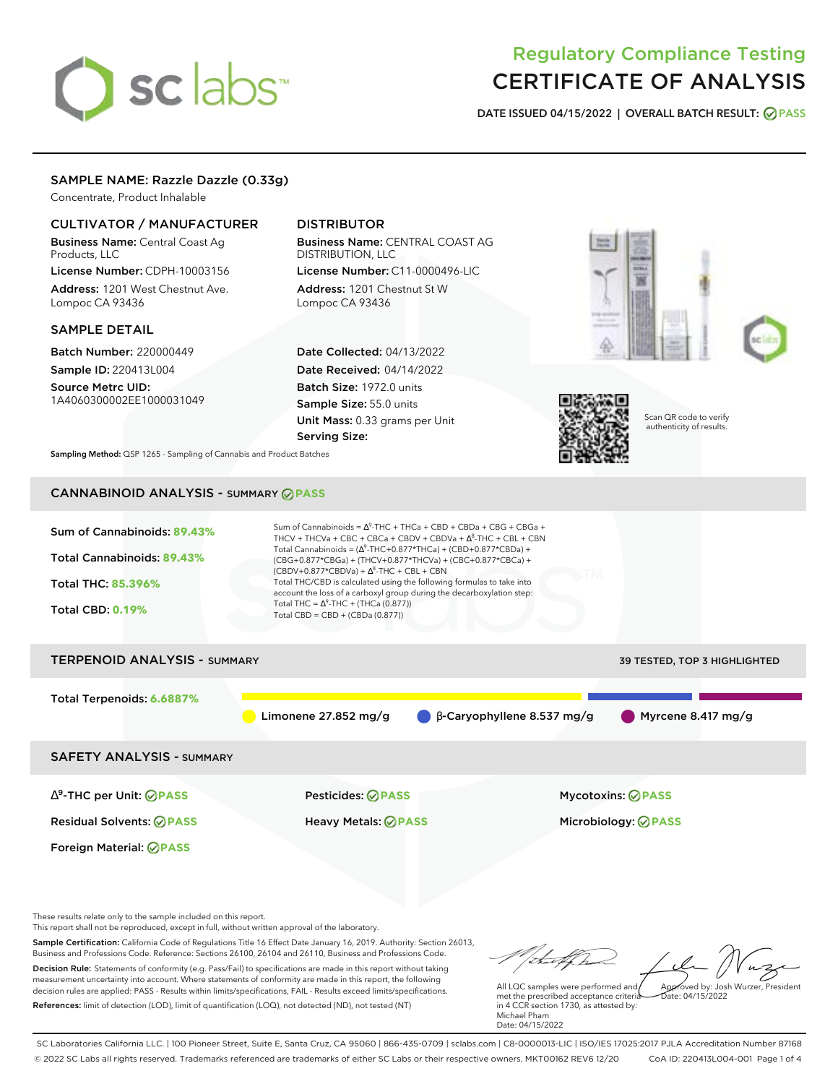# sclabs<sup>\*</sup>

## Regulatory Compliance Testing CERTIFICATE OF ANALYSIS

**DATE ISSUED 04/15/2022 | OVERALL BATCH RESULT: PASS**

## SAMPLE NAME: Razzle Dazzle (0.33g)

Concentrate, Product Inhalable

#### CULTIVATOR / MANUFACTURER

Business Name: Central Coast Ag Products, LLC

License Number: CDPH-10003156 Address: 1201 West Chestnut Ave. Lompoc CA 93436

#### SAMPLE DETAIL

Batch Number: 220000449 Sample ID: 220413L004

Source Metrc UID: 1A4060300002EE1000031049

## DISTRIBUTOR

Business Name: CENTRAL COAST AG DISTRIBUTION, LLC License Number: C11-0000496-LIC

Address: 1201 Chestnut St W Lompoc CA 93436

Date Collected: 04/13/2022 Date Received: 04/14/2022 Batch Size: 1972.0 units Sample Size: 55.0 units Unit Mass: 0.33 grams per Unit Serving Size:





Scan QR code to verify authenticity of results.

**Sampling Method:** QSP 1265 - Sampling of Cannabis and Product Batches

## CANNABINOID ANALYSIS - SUMMARY **PASS**



These results relate only to the sample included on this report.

This report shall not be reproduced, except in full, without written approval of the laboratory.

Sample Certification: California Code of Regulations Title 16 Effect Date January 16, 2019. Authority: Section 26013, Business and Professions Code. Reference: Sections 26100, 26104 and 26110, Business and Professions Code. Decision Rule: Statements of conformity (e.g. Pass/Fail) to specifications are made in this report without taking measurement uncertainty into account. Where statements of conformity are made in this report, the following decision rules are applied: PASS - Results within limits/specifications, FAIL - Results exceed limits/specifications.

References: limit of detection (LOD), limit of quantification (LOQ), not detected (ND), not tested (NT)

 $hat: 04/15/2022$ 

All LQC samples were performed and met the prescribed acceptance criteria in 4 CCR section 1730, as attested by: Michael Pham Date: 04/15/2022

SC Laboratories California LLC. | 100 Pioneer Street, Suite E, Santa Cruz, CA 95060 | 866-435-0709 | sclabs.com | C8-0000013-LIC | ISO/IES 17025:2017 PJLA Accreditation Number 87168 © 2022 SC Labs all rights reserved. Trademarks referenced are trademarks of either SC Labs or their respective owners. MKT00162 REV6 12/20 CoA ID: 220413L004-001 Page 1 of 4

Approved by: Josh Wurzer, President